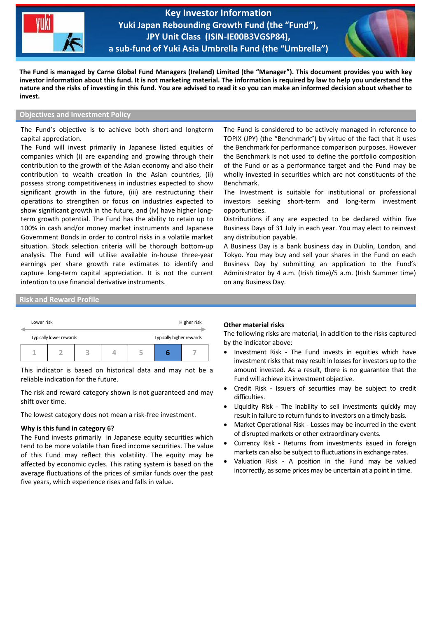

**Key Investor Information Yuki Japan Rebounding Growth Fund (the "Fund"), JPY Unit Class (ISIN-IE00B3VGSP84), a sub-fund of Yuki Asia Umbrella Fund (the "Umbrella")**

֦



**The Fund is managed by Carne Global Fund Managers (Ireland) Limited (the "Manager"). This document provides you with key investor information about this fund. It is not marketing material. The information is required by law to help you understand the nature and the risks of investing in this fund. You are advised to read it so you can make an informed decision about whether to invest.**

# **Objectives and Investment Policy**

The Fund's objective is to achieve both short-and longterm capital appreciation.

The Fund will invest primarily in Japanese listed equities of companies which (i) are expanding and growing through their contribution to the growth of the Asian economy and also their contribution to wealth creation in the Asian countries, (ii) possess strong competitiveness in industries expected to show significant growth in the future, (iii) are restructuring their operations to strengthen or focus on industries expected to show significant growth in the future, and (iv) have higher longterm growth potential. The Fund has the ability to retain up to 100% in cash and/or money market instruments and Japanese Government Bonds in order to control risks in a volatile market situation. Stock selection criteria will be thorough bottom-up analysis. The Fund will utilise available in-house three-year earnings per share growth rate estimates to identify and capture long-term capital appreciation. It is not the current intention to use financial derivative instruments.

The Fund is considered to be actively managed in reference to TOPIX (JPY) (the "Benchmark") by virtue of the fact that it uses the Benchmark for performance comparison purposes. However the Benchmark is not used to define the portfolio composition of the Fund or as a performance target and the Fund may be wholly invested in securities which are not constituents of the Benchmark.

The Investment is suitable for institutional or professional investors seeking short-term and long-term investment opportunities.

Distributions if any are expected to be declared within five Business Days of 31 July in each year. You may elect to reinvest any distribution payable.

A Business Day is a bank business day in Dublin, London, and Tokyo. You may buy and sell your shares in the Fund on each Business Day by submitting an application to the Fund's Administrator by 4 a.m. (Irish time)/5 a.m. (Irish Summer time) on any Business Day.

**Risk and Reward Profile**

|  | Lower risk              |  | Higher risk |  |  |                          |  |
|--|-------------------------|--|-------------|--|--|--------------------------|--|
|  | Typically lower rewards |  |             |  |  | Typically higher rewards |  |
|  |                         |  | ą           |  |  |                          |  |

This indicator is based on historical data and may not be a reliable indication for the future.

The risk and reward category shown is not guaranteed and may shift over time.

The lowest category does not mean a risk-free investment.

### **Why is this fund in category 6?**

The Fund invests primarily in Japanese equity securities which tend to be more volatile than fixed income securities. The value of this Fund may reflect this volatility. The equity may be affected by economic cycles. This rating system is based on the average fluctuations of the prices of similar funds over the past five years, which experience rises and falls in value.

#### **Other material risks**

The following risks are material, in addition to the risks captured by the indicator above:

- Investment Risk The Fund invests in equities which have investment risks that may result in losses for investors up to the amount invested. As a result, there is no guarantee that the Fund will achieve its investment objective.
- Credit Risk Issuers of securities may be subject to credit difficulties.
- Liquidity Risk The inability to sell investments quickly may result in failure to return funds to investors on a timely basis.
- Market Operational Risk Losses may be incurred in the event of disrupted markets or other extraordinary events.
- Currency Risk Returns from investments issued in foreign markets can also be subject to fluctuations in exchange rates.
- Valuation Risk A position in the Fund may be valued incorrectly, as some prices may be uncertain at a point in time.